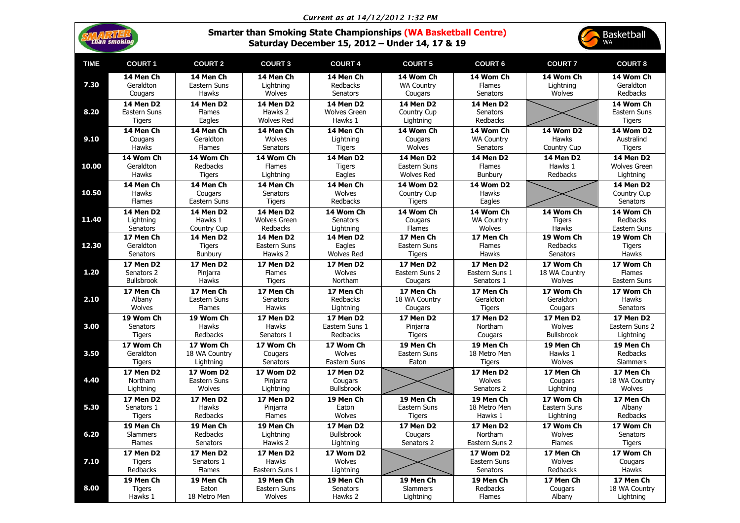| Current as at 14/12/2012 1:32 PM |  |  |
|----------------------------------|--|--|
|----------------------------------|--|--|

| Smarter than Smoking State Championships (WA Basketball Centre) |                                                |  |  |
|-----------------------------------------------------------------|------------------------------------------------|--|--|
|                                                                 | Saturday December 15, 2012 - Under 14, 17 & 19 |  |  |

|             | than smoking                                      |                                                 |                                                    |                                                    | <b>Smarter than Smoking State Championships (WA Basketball Centre)</b><br>Saturday December 15, 2012 - Under 14, 17 & 19 |                                                     |                                   | Basketball<br><b>WA</b>                                   |
|-------------|---------------------------------------------------|-------------------------------------------------|----------------------------------------------------|----------------------------------------------------|--------------------------------------------------------------------------------------------------------------------------|-----------------------------------------------------|-----------------------------------|-----------------------------------------------------------|
| <b>TIME</b> | <b>COURT 1</b>                                    | <b>COURT 2</b>                                  | <b>COURT 3</b>                                     | <b>COURT 4</b>                                     | <b>COURT 5</b>                                                                                                           | <b>COURT 6</b>                                      | <b>COURT 7</b>                    | <b>COURT 8</b>                                            |
| 7.30        | 14 Men Ch                                         | 14 Men Ch                                       | 14 Men Ch                                          | 14 Men Ch                                          | 14 Wom Ch                                                                                                                | 14 Wom Ch                                           | 14 Wom Ch                         | 14 Wom Ch                                                 |
|             | Geraldton                                         | Eastern Suns                                    | Lightning                                          | Redbacks                                           | <b>WA Country</b>                                                                                                        | <b>Flames</b>                                       | Lightning                         | Geraldton                                                 |
|             | Cougars                                           | Hawks                                           | Wolves                                             | Senators                                           | Cougars                                                                                                                  | <b>Senators</b>                                     | Wolves                            | Redbacks                                                  |
| 8.20        | <b>14 Men D2</b><br>Eastern Suns<br><b>Tigers</b> | <b>14 Men D2</b><br><b>Flames</b><br>Eagles     | <b>14 Men D2</b><br>Hawks 2<br><b>Wolves Red</b>   | <b>14 Men D2</b><br><b>Wolves Green</b><br>Hawks 1 | <b>14 Men D2</b><br><b>Country Cup</b><br>Lightning                                                                      | <b>14 Men D2</b><br><b>Senators</b><br>Redbacks     |                                   | 14 Wom Ch<br>Eastern Suns<br><b>Tigers</b>                |
| 9.10        | 14 Men Ch                                         | 14 Men Ch                                       | 14 Men Ch                                          | 14 Men Ch                                          | 14 Wom Ch                                                                                                                | 14 Wom Ch                                           | <b>14 Wom D2</b>                  | <b>14 Wom D2</b>                                          |
|             | Cougars                                           | Geraldton                                       | Wolves                                             | Lightning                                          | Cougars                                                                                                                  | <b>WA Country</b>                                   | <b>Hawks</b>                      | Australind                                                |
|             | <b>Hawks</b>                                      | <b>Flames</b>                                   | <b>Senators</b>                                    | <b>Tigers</b>                                      | Wolves                                                                                                                   | <b>Senators</b>                                     | Country Cup                       | <b>Tigers</b>                                             |
| 10.00       | 14 Wom Ch                                         | 14 Wom Ch                                       | 14 Wom Ch                                          | <b>14 Men D2</b>                                   | <b>14 Men D2</b>                                                                                                         | <b>14 Men D2</b>                                    | <b>14 Men D2</b>                  | <b>14 Men D2</b>                                          |
|             | Geraldton                                         | Redbacks                                        | <b>Flames</b>                                      | <b>Tigers</b>                                      | Eastern Suns                                                                                                             | <b>Flames</b>                                       | Hawks 1                           | <b>Wolves Green</b>                                       |
|             | <b>Hawks</b>                                      | <b>Tigers</b>                                   | Lightning                                          | Eagles                                             | <b>Wolves Red</b>                                                                                                        | Bunbury                                             | Redbacks                          | Lightning                                                 |
| 10.50       | 14 Men Ch<br><b>Hawks</b><br><b>Flames</b>        | 14 Men Ch<br>Cougars<br>Eastern Suns            | 14 Men Ch<br>Senators<br><b>Tigers</b>             | 14 Men Ch<br>Wolves<br>Redbacks                    | <b>14 Wom D2</b><br><b>Country Cup</b><br><b>Tigers</b>                                                                  | <b>14 Wom D2</b><br><b>Hawks</b><br>Eagles          |                                   | <b>14 Men D2</b><br><b>Country Cup</b><br><b>Senators</b> |
| 11.40       | <b>14 Men D2</b>                                  | <b>14 Men D2</b>                                | <b>14 Men D2</b>                                   | 14 Wom Ch                                          | 14 Wom Ch                                                                                                                | 14 Wom Ch                                           | 14 Wom Ch                         | 14 Wom Ch                                                 |
|             | Lightning                                         | Hawks 1                                         | <b>Wolves Green</b>                                | <b>Senators</b>                                    | Cougars                                                                                                                  | <b>WA Country</b>                                   | <b>Tigers</b>                     | Redbacks                                                  |
|             | Senators                                          | Country Cup                                     | Redbacks                                           | Lightning                                          | <b>Flames</b>                                                                                                            | Wolves                                              | <b>Hawks</b>                      | Eastern Suns                                              |
| 12.30       | 17 Men Ch                                         | <b>14 Men D2</b>                                | <b>14 Men D2</b>                                   | <b>14 Men D2</b>                                   | 17 Men Ch                                                                                                                | 17 Men Ch                                           | 19 Wom Ch                         | 19 Wom Ch                                                 |
|             | Geraldton                                         | <b>Tigers</b>                                   | Eastern Suns                                       | Eagles                                             | Eastern Suns                                                                                                             | <b>Flames</b>                                       | Redbacks                          | <b>Tigers</b>                                             |
|             | Senators                                          | <b>Bunbury</b>                                  | Hawks 2                                            | <b>Wolves Red</b>                                  | <b>Tigers</b>                                                                                                            | Hawks                                               | Senators                          | Hawks                                                     |
| 1.20        | <b>17 Men D2</b>                                  | <b>17 Men D2</b>                                | <b>17 Men D2</b>                                   | <b>17 Men D2</b>                                   | <b>17 Men D2</b>                                                                                                         | <b>17 Men D2</b>                                    | 17 Wom Ch                         | 17 Wom Ch                                                 |
|             | Senators 2                                        | Pinjarra                                        | Flames                                             | Wolves                                             | Eastern Suns 2                                                                                                           | Eastern Suns 1                                      | 18 WA Country                     | <b>Flames</b>                                             |
|             | <b>Bullsbrook</b>                                 | Hawks                                           | <b>Tigers</b>                                      | Northam                                            | Cougars                                                                                                                  | Senators 1                                          | Wolves                            | Eastern Suns                                              |
| 2.10        | 17 Men Ch                                         | 17 Men Ch                                       | 17 Men Ch                                          | 17 Men Ch                                          | 17 Men Ch                                                                                                                | 17 Men Ch                                           | 17 Wom Ch                         | 17 Wom Ch                                                 |
|             | Albany                                            | Eastern Suns                                    | Senators                                           | Redbacks                                           | 18 WA Country                                                                                                            | Geraldton                                           | Geraldton                         | Hawks                                                     |
|             | Wolves                                            | Flames                                          | <b>Hawks</b>                                       | Lightning                                          | Cougars                                                                                                                  | <b>Tigers</b>                                       | Cougars                           | Senators                                                  |
| 3.00        | 19 Wom Ch                                         | 19 Wom Ch                                       | <b>17 Men D2</b>                                   | <b>17 Men D2</b>                                   | <b>17 Men D2</b>                                                                                                         | <b>17 Men D2</b>                                    | <b>17 Men D2</b>                  | <b>17 Men D2</b>                                          |
|             | <b>Senators</b>                                   | <b>Hawks</b>                                    | <b>Hawks</b>                                       | Eastern Suns 1                                     | Pinjarra                                                                                                                 | Northam                                             | Wolves                            | Eastern Suns 2                                            |
|             | <b>Tigers</b>                                     | Redbacks                                        | Senators 1                                         | <b>Redbacks</b>                                    | <b>Tigers</b>                                                                                                            | Cougars                                             | <b>Bullsbrook</b>                 | Lightning                                                 |
| 3.50        | 17 Wom Ch                                         | 17 Wom Ch                                       | 17 Wom Ch                                          | 17 Wom Ch                                          | 19 Men Ch                                                                                                                | 19 Men Ch                                           | 19 Men Ch                         | 19 Men Ch                                                 |
|             | Geraldton                                         | 18 WA Country                                   | Cougars                                            | Wolves                                             | Eastern Suns                                                                                                             | 18 Metro Men                                        | Hawks 1                           | Redbacks                                                  |
|             | <b>Tigers</b>                                     | Lightning                                       | <b>Senators</b>                                    | Eastern Suns                                       | Eaton                                                                                                                    | <b>Tigers</b>                                       | Wolves                            | <b>Slammers</b>                                           |
| 4.40        | <b>17 Men D2</b><br>Northam<br>Lightning          | <b>17 Wom D2</b><br>Eastern Suns<br>Wolves      | <b>17 Wom D2</b><br>Pinjarra<br>Lightning          | <b>17 Men D2</b><br>Cougars<br><b>Bullsbrook</b>   |                                                                                                                          | <b>17 Men D2</b><br>Wolves<br>Senators 2            | 17 Men Ch<br>Cougars<br>Lightning | 17 Men Ch<br>18 WA Country<br>Wolves                      |
| 5.30        | <b>17 Men D2</b>                                  | <b>17 Men D2</b>                                | <b>17 Men D2</b>                                   | 19 Men Ch                                          | 19 Men Ch                                                                                                                | 19 Men Ch                                           | 17 Wom Ch                         | 17 Men Ch                                                 |
|             | Senators 1                                        | <b>Hawks</b>                                    | Pinjarra                                           | Eaton                                              | Eastern Suns                                                                                                             | 18 Metro Men                                        | Eastern Suns                      | Albany                                                    |
|             | <b>Tigers</b>                                     | Redbacks                                        | <b>Flames</b>                                      | Wolves                                             | <b>Tigers</b>                                                                                                            | Hawks 1                                             | Lightning                         | Redbacks                                                  |
| 6.20        | 19 Men Ch                                         | 19 Men Ch                                       | 19 Men Ch                                          | <b>17 Men D2</b>                                   | <b>17 Men D2</b>                                                                                                         | <b>17 Men D2</b>                                    | 17 Wom Ch                         | 17 Wom Ch                                                 |
|             | <b>Slammers</b>                                   | Redbacks                                        | Lightning                                          | <b>Bullsbrook</b>                                  | Cougars                                                                                                                  | <b>Northam</b>                                      | Wolves                            | <b>Senators</b>                                           |
|             | <b>Flames</b>                                     | <b>Senators</b>                                 | Hawks 2                                            | Lightning                                          | Senators 2                                                                                                               | Eastern Suns 2                                      | <b>Flames</b>                     | <b>Tigers</b>                                             |
| 7.10        | <b>17 Men D2</b><br><b>Tigers</b><br>Redbacks     | <b>17 Men D2</b><br>Senators 1<br><b>Flames</b> | <b>17 Men D2</b><br><b>Hawks</b><br>Eastern Suns 1 | <b>17 Wom D2</b><br>Wolves<br>Lightning            |                                                                                                                          | <b>17 Wom D2</b><br>Eastern Suns<br><b>Senators</b> | 17 Men Ch<br>Wolves<br>Redbacks   | 17 Wom Ch<br>Cougars<br><b>Hawks</b>                      |
| 8.00        | 19 Men Ch                                         | 19 Men Ch                                       | 19 Men Ch                                          | 19 Men Ch                                          | 19 Men Ch                                                                                                                | 19 Men Ch                                           | 17 Men Ch                         | 17 Men Ch                                                 |
|             | <b>Tigers</b>                                     | Eaton                                           | Eastern Suns                                       | <b>Senators</b>                                    | <b>Slammers</b>                                                                                                          | Redbacks                                            | Cougars                           | 18 WA Country                                             |
|             | Hawks 1                                           | 18 Metro Men                                    | Wolves                                             | Hawks 2                                            | Lightning                                                                                                                | Flames                                              | Albany                            | Lightning                                                 |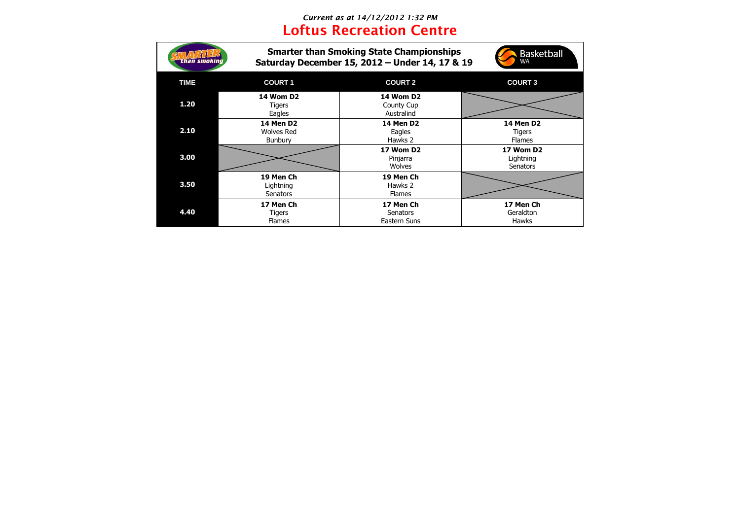## *Current as at 14/12/2012 1:32 PM* **Loftus Recreation Centre**

| lan smokind |                                                         | <b>Smarter than Smoking State Championships</b><br>Saturday December 15, 2012 - Under 14, 17 & 19 | <b>Basketball</b><br>WA                            |
|-------------|---------------------------------------------------------|---------------------------------------------------------------------------------------------------|----------------------------------------------------|
| <b>TIME</b> | <b>COURT 1</b>                                          | <b>COURT 2</b>                                                                                    | <b>COURT 3</b>                                     |
| 1.20        | <b>14 Wom D2</b><br>Tigers<br>Eagles                    | <b>14 Wom D2</b><br>County Cup<br>Australind                                                      |                                                    |
| 2.10        | <b>14 Men D2</b><br><b>Wolves Red</b><br><b>Bunbury</b> | <b>14 Men D2</b><br>Eagles<br>Hawks 2                                                             | <b>14 Men D2</b><br><b>Tigers</b><br><b>Flames</b> |
| 3.00        |                                                         | <b>17 Wom D2</b><br>Pinjarra<br><b>Wolves</b>                                                     | <b>17 Wom D2</b><br>Lightning<br><b>Senators</b>   |
| 3.50        | 19 Men Ch<br>Lightning<br><b>Senators</b>               | 19 Men Ch<br>Hawks 2<br><b>Flames</b>                                                             |                                                    |
| 4.40        | 17 Men Ch<br><b>Tigers</b><br><b>Flames</b>             | 17 Men Ch<br><b>Senators</b><br>Eastern Suns                                                      | 17 Men Ch<br>Geraldton<br><b>Hawks</b>             |

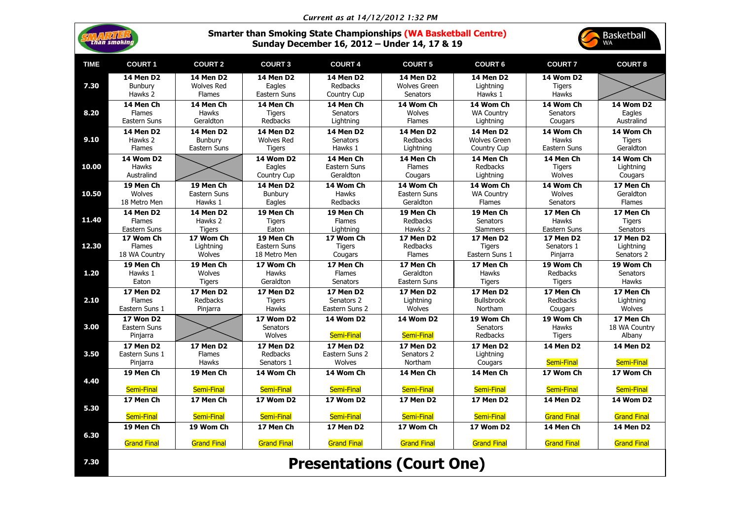|             |                                                                                                                                                                   |                                                        |                                                   | Current as at 14/12/2012 1:32 PM                       |                                                     |                                          |                                            |                                       |
|-------------|-------------------------------------------------------------------------------------------------------------------------------------------------------------------|--------------------------------------------------------|---------------------------------------------------|--------------------------------------------------------|-----------------------------------------------------|------------------------------------------|--------------------------------------------|---------------------------------------|
|             | <b>Smarter than Smoking State Championships (WA Basketball Centre)</b><br><b>Basketball</b><br>than smoking<br>Sunday December 16, 2012 - Under 14, 17 & 19<br>WA |                                                        |                                                   |                                                        |                                                     |                                          |                                            |                                       |
| <b>TIME</b> | <b>COURT 1</b>                                                                                                                                                    | <b>COURT 2</b>                                         | <b>COURT 3</b>                                    | <b>COURT 4</b>                                         | <b>COURT 5</b>                                      | <b>COURT 6</b>                           | <b>COURT 7</b>                             | <b>COURT 8</b>                        |
| 7.30        | <b>14 Men D2</b><br><b>Bunbury</b><br>Hawks 2                                                                                                                     | <b>14 Men D2</b><br><b>Wolves Red</b><br><b>Flames</b> | <b>14 Men D2</b><br>Eagles<br>Eastern Suns        | <b>14 Men D2</b><br>Redbacks<br><b>Country Cup</b>     | <b>14 Men D2</b><br><b>Wolves Green</b><br>Senators | <b>14 Men D2</b><br>Lightning<br>Hawks 1 | <b>14 Wom D2</b><br><b>Tigers</b><br>Hawks |                                       |
| 8.20        | 14 Men Ch                                                                                                                                                         | 14 Men Ch                                              | 14 Men Ch                                         | 14 Men Ch                                              | 14 Wom Ch                                           | 14 Wom Ch                                | 14 Wom Ch                                  | <b>14 Wom D2</b>                      |
|             | <b>Flames</b>                                                                                                                                                     | <b>Hawks</b>                                           | <b>Tigers</b>                                     | <b>Senators</b>                                        | Wolves                                              | <b>WA Country</b>                        | Senators                                   | Eagles                                |
|             | Eastern Suns                                                                                                                                                      | Geraldton                                              | <b>Redbacks</b>                                   | Lightning                                              | <b>Flames</b>                                       | Lightning                                | Cougars                                    | Australind                            |
| 9.10        | <b>14 Men D2</b>                                                                                                                                                  | <b>14 Men D2</b>                                       | <b>14 Men D2</b>                                  | <b>14 Men D2</b>                                       | <b>14 Men D2</b>                                    | <b>14 Men D2</b>                         | 14 Wom Ch                                  | 14 Wom Ch                             |
|             | Hawks 2                                                                                                                                                           | <b>Bunbury</b>                                         | <b>Wolves Red</b>                                 | <b>Senators</b>                                        | Redbacks                                            | <b>Wolves Green</b>                      | <b>Hawks</b>                               | <b>Tigers</b>                         |
|             | <b>Flames</b>                                                                                                                                                     | Eastern Suns                                           | <b>Tigers</b>                                     | Hawks 1                                                | Lightning                                           | Country Cup                              | Eastern Suns                               | Geraldton                             |
| 10.00       | <b>14 Wom D2</b><br><b>Hawks</b><br>Australind                                                                                                                    |                                                        | <b>14 Wom D2</b><br>Eagles<br>Country Cup         | 14 Men Ch<br>Eastern Suns<br>Geraldton                 | 14 Men Ch<br><b>Flames</b><br>Cougars               | 14 Men Ch<br>Redbacks<br>Lightning       | 14 Men Ch<br><b>Tigers</b><br>Wolves       | 14 Wom Ch<br>Lightning<br>Cougars     |
| 10.50       | 19 Men Ch                                                                                                                                                         | 19 Men Ch                                              | <b>14 Men D2</b>                                  | 14 Wom Ch                                              | 14 Wom Ch                                           | 14 Wom Ch                                | 14 Wom Ch                                  | 17 Men Ch                             |
|             | Wolves                                                                                                                                                            | Eastern Suns                                           | <b>Bunbury</b>                                    | <b>Hawks</b>                                           | Eastern Suns                                        | <b>WA Country</b>                        | Wolves                                     | Geraldton                             |
|             | 18 Metro Men                                                                                                                                                      | Hawks 1                                                | Eagles                                            | Redbacks                                               | Geraldton                                           | <b>Flames</b>                            | <b>Senators</b>                            | <b>Flames</b>                         |
| 11.40       | <b>14 Men D2</b>                                                                                                                                                  | <b>14 Men D2</b>                                       | 19 Men Ch                                         | 19 Men Ch                                              | 19 Men Ch                                           | 19 Men Ch                                | 17 Men Ch                                  | 17 Men Ch                             |
|             | <b>Flames</b>                                                                                                                                                     | Hawks 2                                                | <b>Tigers</b>                                     | <b>Flames</b>                                          | Redbacks                                            | Senators                                 | <b>Hawks</b>                               | <b>Tigers</b>                         |
|             | Eastern Suns                                                                                                                                                      | <b>Tigers</b>                                          | Eaton                                             | Lightning                                              | Hawks 2                                             | <b>Slammers</b>                          | Eastern Suns                               | <b>Senators</b>                       |
| 12.30       | 17 Wom Ch                                                                                                                                                         | 17 Wom Ch                                              | 19 Men Ch                                         | 17 Wom Ch                                              | <b>17 Men D2</b>                                    | <b>17 Men D2</b>                         | <b>17 Men D2</b>                           | <b>17 Men D2</b>                      |
|             | <b>Flames</b>                                                                                                                                                     | Lightning                                              | Eastern Suns                                      | <b>Tigers</b>                                          | Redbacks                                            | <b>Tigers</b>                            | Senators 1                                 | Lightning                             |
|             | 18 WA Country                                                                                                                                                     | <b>Wolves</b>                                          | 18 Metro Men                                      | Cougars                                                | <b>Flames</b>                                       | Eastern Suns 1                           | Pinjarra                                   | Senators 2                            |
| 1.20        | 19 Men Ch                                                                                                                                                         | 19 Men Ch                                              | 17 Wom Ch                                         | 17 Men Ch                                              | 17 Men Ch                                           | 17 Men Ch                                | 19 Wom Ch                                  | 19 Wom Ch                             |
|             | Hawks 1                                                                                                                                                           | <b>Wolves</b>                                          | <b>Hawks</b>                                      | <b>Flames</b>                                          | Geraldton                                           | <b>Hawks</b>                             | <b>Redbacks</b>                            | <b>Senators</b>                       |
|             | Eaton                                                                                                                                                             | Tigers                                                 | Geraldton                                         | <b>Senators</b>                                        | Eastern Suns                                        | <b>Tigers</b>                            | <b>Tigers</b>                              | <b>Hawks</b>                          |
| 2.10        | <b>17 Men D2</b>                                                                                                                                                  | <b>17 Men D2</b>                                       | 17 Men D2                                         | <b>17 Men D2</b>                                       | <b>17 Men D2</b>                                    | 17 Men D2                                | 17 Men Ch                                  | 17 Men Ch                             |
|             | <b>Flames</b>                                                                                                                                                     | <b>Redbacks</b>                                        | <b>Tigers</b>                                     | Senators 2                                             | Lightning                                           | <b>Bullsbrook</b>                        | <b>Redbacks</b>                            | Lightning                             |
|             | Eastern Suns 1                                                                                                                                                    | Pinjarra                                               | <b>Hawks</b>                                      | Eastern Suns 2                                         | Wolves                                              | Northam                                  | Cougars                                    | <b>Wolves</b>                         |
| 3.00        | <b>17 Won D2</b><br>Eastern Suns<br>Pinjarra                                                                                                                      |                                                        | <b>17 Wom D2</b><br><b>Senators</b><br>Wolves     | <b>14 Wom D2</b><br><b>Semi-Final</b>                  | <b>14 Wom D2</b><br>Semi-Final                      | 19 Wom Ch<br><b>Senators</b><br>Redbacks | 19 Wom Ch<br><b>Hawks</b><br><b>Tigers</b> | 17 Men Ch<br>18 WA Country<br>Albany  |
| 3.50        | <b>17 Men D2</b><br>Eastern Suns 1<br>Pinjarra                                                                                                                    | <b>17 Men D2</b><br><b>Flames</b><br><b>Hawks</b>      | <b>17 Men D2</b><br><b>Redbacks</b><br>Senators 1 | <b>17 Men D2</b><br>Eastern Suns 2<br>Wolves           | <b>17 Men D2</b><br>Senators 2<br>Northam           | <b>17 Men D2</b><br>Lightning<br>Cougars | <b>14 Men D2</b><br>Semi-Final             | <b>14 Men D2</b><br><b>Semi-Final</b> |
| 4.40        | 19 Men Ch                                                                                                                                                         | 19 Men Ch                                              | 14 Wom Ch                                         | 14 Wom Ch                                              | 14 Men Ch                                           | 14 Men Ch                                | 17 Wom Ch                                  | 17 Wom Ch                             |
|             | Semi-Final                                                                                                                                                        | Semi-Final                                             | Semi-Final                                        | Semi-Final                                             | <b>Semi-Final</b>                                   | <b>Semi-Final</b>                        | Semi-Final                                 | <b>Semi-Final</b>                     |
| 5.30        | 17 Men Ch                                                                                                                                                         | 17 Men Ch                                              | <b>17 Wom D2</b>                                  | <b>17 Wom D2</b>                                       | <b>17 Men D2</b>                                    | <b>17 Men D2</b>                         | <b>14 Men D2</b>                           | <b>14 Wom D2</b>                      |
| 6.30        | Semi-Final                                                                                                                                                        | Semi-Final                                             | Semi-Final                                        | Semi-Final                                             | Semi-Final                                          | Semi-Final                               | <b>Grand Final</b>                         | <b>Grand Final</b>                    |
|             | 19 Men Ch                                                                                                                                                         | 19 Wom Ch                                              | 17 Men Ch                                         | <b>17 Men D2</b>                                       | 17 Wom Ch                                           | <b>17 Wom D2</b>                         | 14 Men Ch                                  | <b>14 Men D2</b>                      |
| 7.30        | <b>Grand Final</b>                                                                                                                                                | <b>Grand Final</b>                                     | <b>Grand Final</b>                                | <b>Grand Final</b><br><b>Presentations (Court One)</b> | <b>Grand Final</b>                                  | <b>Grand Final</b>                       | <b>Grand Final</b>                         | <b>Grand Final</b>                    |